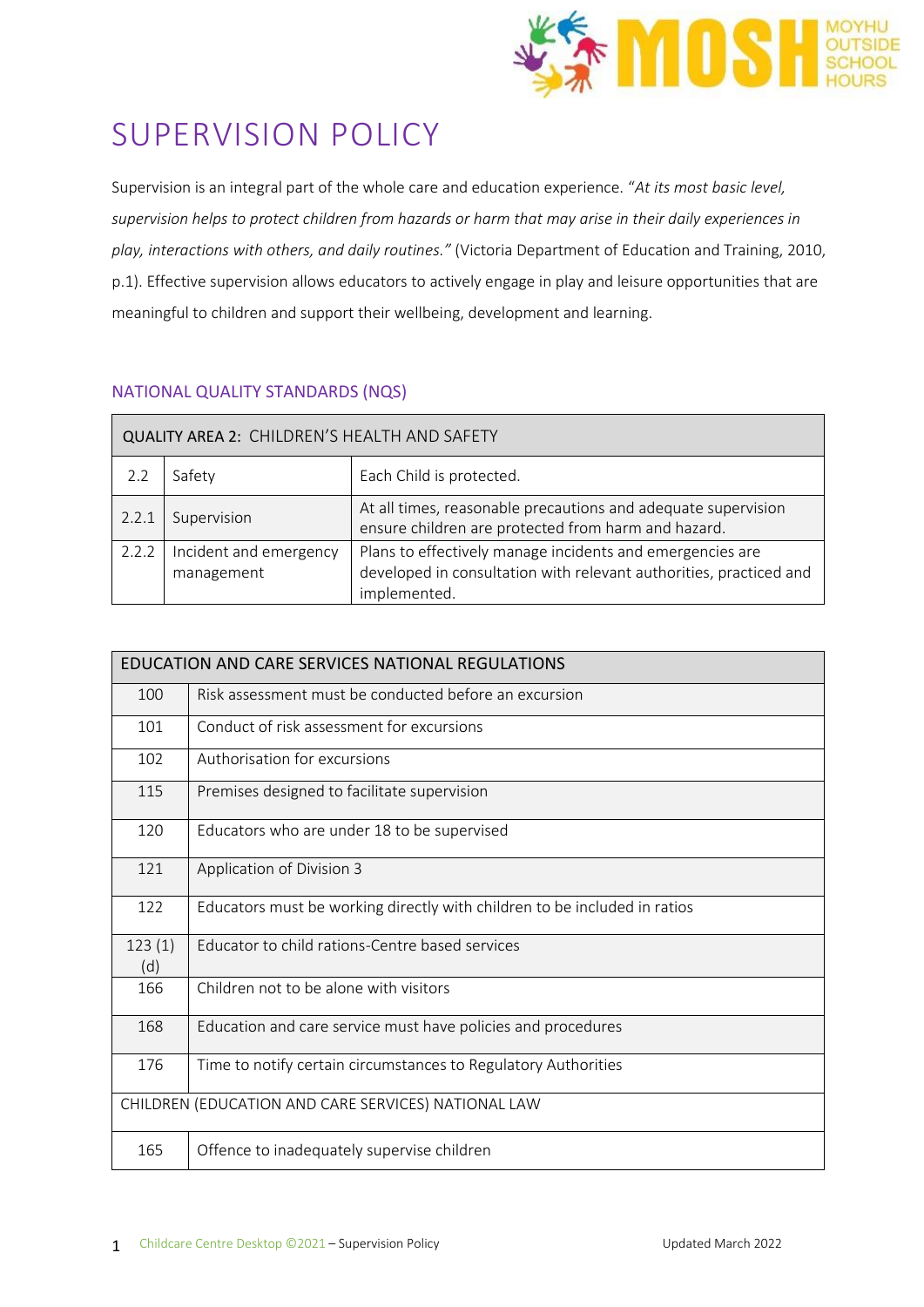

# SUPERVISION POLICY

Supervision is an integral part of the whole care and education experience. "*At its most basic level, supervision helps to protect children from hazards or harm that may arise in their daily experiences in play, interactions with others, and daily routines."* (Victoria Department of Education and Training, 2010, p.1). Effective supervision allows educators to actively engage in play and leisure opportunities that are meaningful to children and support their wellbeing, development and learning.

# NATIONAL QUALITY STANDARDS (NQS)

| QUALITY AREA 2: CHILDREN'S HEALTH AND SAFETY |                                      |                                                                                                                                                 |  |  |  |
|----------------------------------------------|--------------------------------------|-------------------------------------------------------------------------------------------------------------------------------------------------|--|--|--|
| 2.2                                          | Safety                               | Each Child is protected.                                                                                                                        |  |  |  |
| 2.2.1                                        | Supervision                          | At all times, reasonable precautions and adequate supervision<br>ensure children are protected from harm and hazard.                            |  |  |  |
| 2.2.2                                        | Incident and emergency<br>management | Plans to effectively manage incidents and emergencies are<br>developed in consultation with relevant authorities, practiced and<br>implemented. |  |  |  |

| EDUCATION AND CARE SERVICES NATIONAL REGULATIONS    |                                                                           |  |  |  |  |
|-----------------------------------------------------|---------------------------------------------------------------------------|--|--|--|--|
| 100                                                 | Risk assessment must be conducted before an excursion                     |  |  |  |  |
| 101                                                 | Conduct of risk assessment for excursions                                 |  |  |  |  |
| 102                                                 | Authorisation for excursions                                              |  |  |  |  |
| 115                                                 | Premises designed to facilitate supervision                               |  |  |  |  |
| 120                                                 | Educators who are under 18 to be supervised                               |  |  |  |  |
| 121                                                 | Application of Division 3                                                 |  |  |  |  |
| 122                                                 | Educators must be working directly with children to be included in ratios |  |  |  |  |
| 123(1)<br>(d)                                       | Educator to child rations-Centre based services                           |  |  |  |  |
| 166                                                 | Children not to be alone with visitors                                    |  |  |  |  |
| 168                                                 | Education and care service must have policies and procedures              |  |  |  |  |
| 176                                                 | Time to notify certain circumstances to Regulatory Authorities            |  |  |  |  |
| CHILDREN (EDUCATION AND CARE SERVICES) NATIONAL LAW |                                                                           |  |  |  |  |
| 165                                                 | Offence to inadequately supervise children                                |  |  |  |  |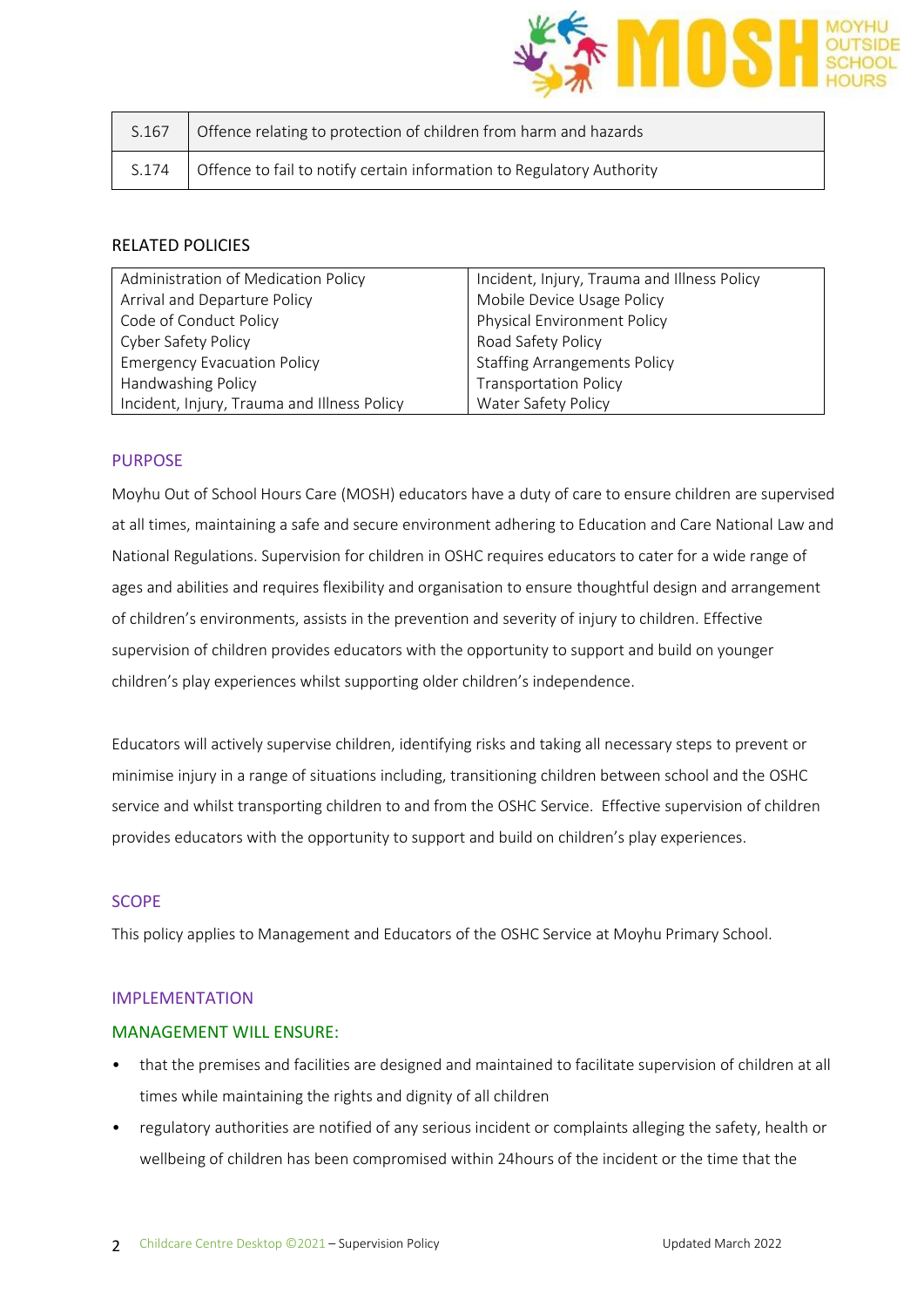

| S.167 | Offence relating to protection of children from harm and hazards      |
|-------|-----------------------------------------------------------------------|
| S.174 | Offence to fail to notify certain information to Regulatory Authority |

## RELATED POLICIES

| Administration of Medication Policy         | Incident, Injury, Trauma and Illness Policy |  |
|---------------------------------------------|---------------------------------------------|--|
| Arrival and Departure Policy                | Mobile Device Usage Policy                  |  |
| Code of Conduct Policy                      | Physical Environment Policy                 |  |
| <b>Cyber Safety Policy</b>                  | Road Safety Policy                          |  |
| <b>Emergency Evacuation Policy</b>          | <b>Staffing Arrangements Policy</b>         |  |
| Handwashing Policy                          | <b>Transportation Policy</b>                |  |
| Incident, Injury, Trauma and Illness Policy | Water Safety Policy                         |  |

#### PURPOSE

Moyhu Out of School Hours Care (MOSH) educators have a duty of care to ensure children are supervised at all times, maintaining a safe and secure environment adhering to Education and Care National Law and National Regulations. Supervision for children in OSHC requires educators to cater for a wide range of ages and abilities and requires flexibility and organisation to ensure thoughtful design and arrangement of children's environments, assists in the prevention and severity of injury to children. Effective supervision of children provides educators with the opportunity to support and build on younger children's play experiences whilst supporting older children's independence.

Educators will actively supervise children, identifying risks and taking all necessary steps to prevent or minimise injury in a range of situations including, transitioning children between school and the OSHC service and whilst transporting children to and from the OSHC Service. Effective supervision of children provides educators with the opportunity to support and build on children's play experiences.

## **SCOPE**

This policy applies to Management and Educators of the OSHC Service at Moyhu Primary School.

#### IMPLEMENTATION

#### MANAGEMENT WILL ENSURE:

- that the premises and facilities are designed and maintained to facilitate supervision of children at all times while maintaining the rights and dignity of all children
- regulatory authorities are notified of any serious incident or complaints alleging the safety, health or wellbeing of children has been compromised within 24hours of the incident or the time that the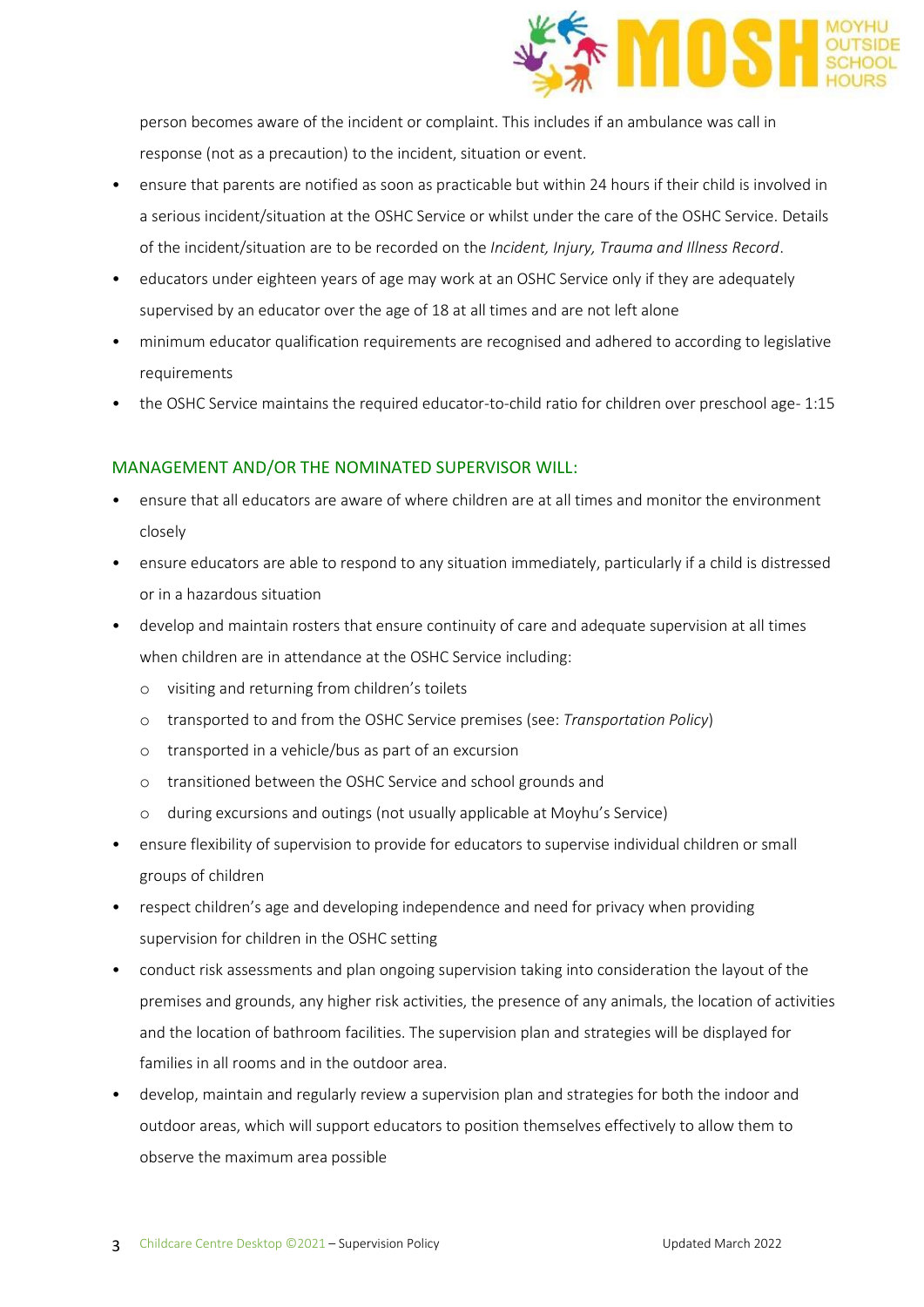

person becomes aware of the incident or complaint. This includes if an ambulance was call in response (not as a precaution) to the incident, situation or event.

- ensure that parents are notified as soon as practicable but within 24 hours if their child is involved in a serious incident/situation at the OSHC Service or whilst under the care of the OSHC Service. Details of the incident/situation are to be recorded on the *Incident, Injury, Trauma and Illness Record*.
- educators under eighteen years of age may work at an OSHC Service only if they are adequately supervised by an educator over the age of 18 at all times and are not left alone
- minimum educator qualification requirements are recognised and adhered to according to legislative requirements
- the OSHC Service maintains the required educator-to-child ratio for children over preschool age-1:15

#### MANAGEMENT AND/OR THE NOMINATED SUPERVISOR WILL:

- ensure that all educators are aware of where children are at all times and monitor the environment closely
- ensure educators are able to respond to any situation immediately, particularly if a child is distressed or in a hazardous situation
- develop and maintain rosters that ensure continuity of care and adequate supervision at all times when children are in attendance at the OSHC Service including:
	- o visiting and returning from children's toilets
	- o transported to and from the OSHC Service premises (see: *Transportation Policy*)
	- o transported in a vehicle/bus as part of an excursion
	- o transitioned between the OSHC Service and school grounds and
	- o during excursions and outings (not usually applicable at Moyhu's Service)
- ensure flexibility of supervision to provide for educators to supervise individual children or small groups of children
- respect children's age and developing independence and need for privacy when providing supervision for children in the OSHC setting
- conduct risk assessments and plan ongoing supervision taking into consideration the layout of the premises and grounds, any higher risk activities, the presence of any animals, the location of activities and the location of bathroom facilities. The supervision plan and strategies will be displayed for families in all rooms and in the outdoor area.
- develop, maintain and regularly review a supervision plan and strategies for both the indoor and outdoor areas, which will support educators to position themselves effectively to allow them to observe the maximum area possible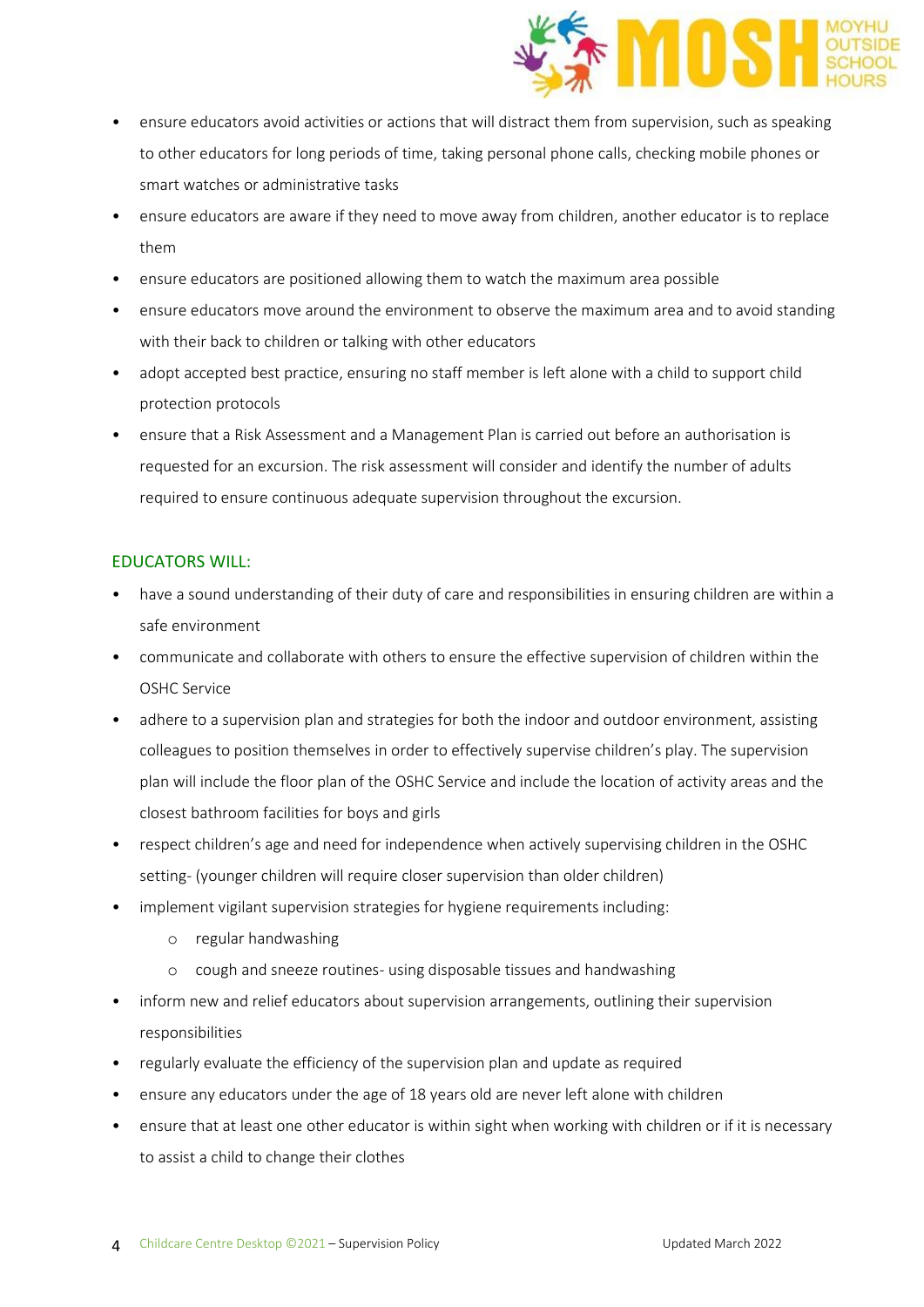

- ensure educators avoid activities or actions that will distract them from supervision, such as speaking to other educators for long periods of time, taking personal phone calls, checking mobile phones or smart watches or administrative tasks
- ensure educators are aware if they need to move away from children, another educator is to replace them
- ensure educators are positioned allowing them to watch the maximum area possible
- ensure educators move around the environment to observe the maximum area and to avoid standing with their back to children or talking with other educators
- adopt accepted best practice, ensuring no staff member is left alone with a child to support child protection protocols
- ensure that a Risk Assessment and a Management Plan is carried out before an authorisation is requested for an excursion. The risk assessment will consider and identify the number of adults required to ensure continuous adequate supervision throughout the excursion.

## EDUCATORS WILL:

- have a sound understanding of their duty of care and responsibilities in ensuring children are within a safe environment
- communicate and collaborate with others to ensure the effective supervision of children within the OSHC Service
- adhere to a supervision plan and strategies for both the indoor and outdoor environment, assisting colleagues to position themselves in order to effectively supervise children's play. The supervision plan will include the floor plan of the OSHC Service and include the location of activity areas and the closest bathroom facilities for boys and girls
- respect children's age and need for independence when actively supervising children in the OSHC setting- (younger children will require closer supervision than older children)
- implement vigilant supervision strategies for hygiene requirements including:
	- o regular handwashing
	- o cough and sneeze routines- using disposable tissues and handwashing
- inform new and relief educators about supervision arrangements, outlining their supervision responsibilities
- regularly evaluate the efficiency of the supervision plan and update as required
- ensure any educators under the age of 18 years old are never left alone with children
- ensure that at least one other educator is within sight when working with children or if it is necessary to assist a child to change their clothes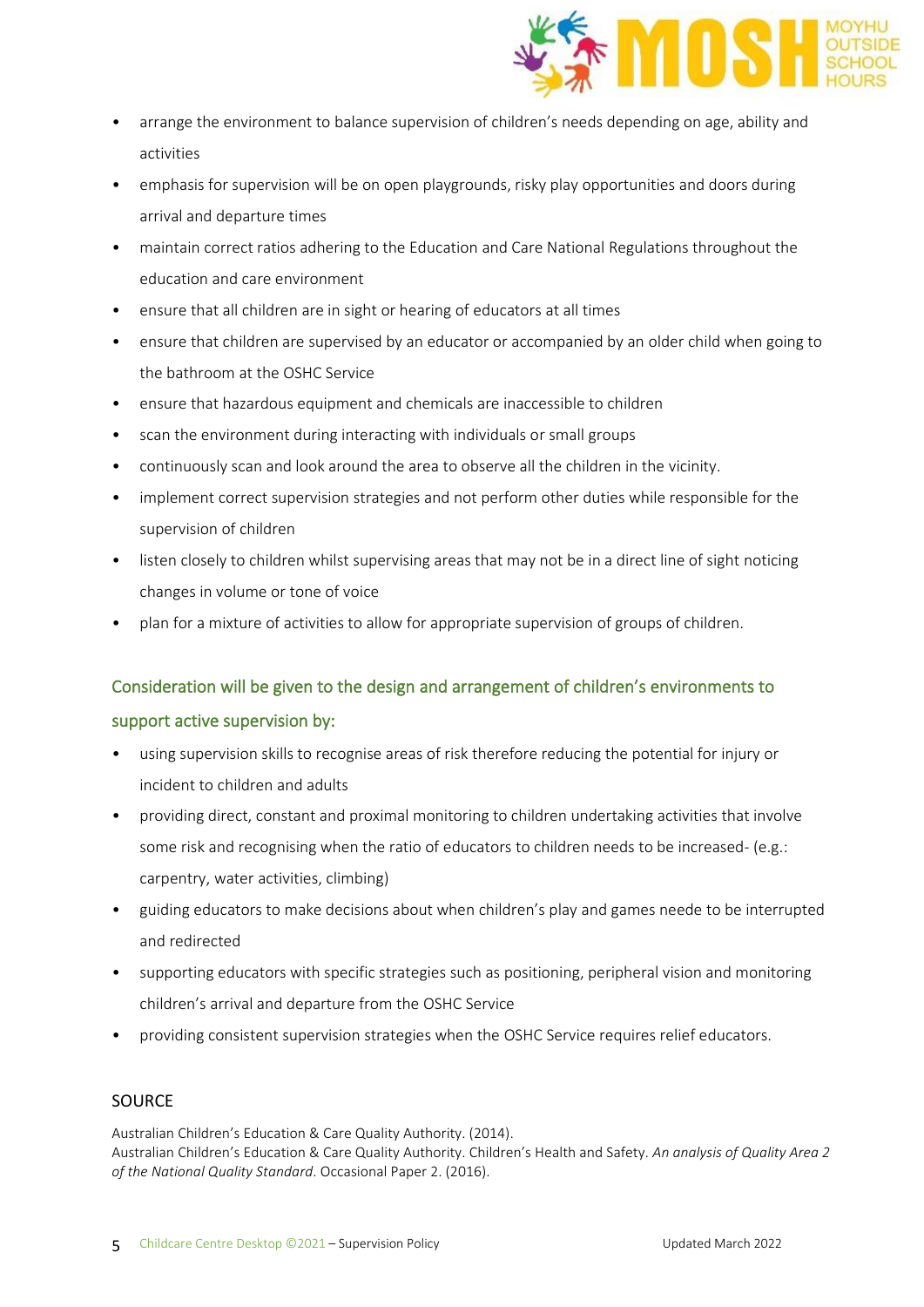

- arrange the environment to balance supervision of children's needs depending on age, ability and activities
- emphasis for supervision will be on open playgrounds, risky play opportunities and doors during arrival and departure times
- maintain correct ratios adhering to the Education and Care National Regulations throughout the education and care environment
- ensure that all children are in sight or hearing of educators at all times
- ensure that children are supervised by an educator or accompanied by an older child when going to the bathroom at the OSHC Service
- ensure that hazardous equipment and chemicals are inaccessible to children
- scan the environment during interacting with individuals or small groups
- continuously scan and look around the area to observe all the children in the vicinity.
- implement correct supervision strategies and not perform other duties while responsible for the supervision of children
- listen closely to children whilst supervising areas that may not be in a direct line of sight noticing changes in volume or tone of voice
- plan for a mixture of activities to allow for appropriate supervision of groups of children.

# Consideration will be given to the design and arrangement of children's environments to

## support active supervision by:

- using supervision skills to recognise areas of risk therefore reducing the potential for injury or incident to children and adults
- providing direct, constant and proximal monitoring to children undertaking activities that involve some risk and recognising when the ratio of educators to children needs to be increased- (e.g.: carpentry, water activities, climbing)
- guiding educators to make decisions about when children's play and games neede to be interrupted and redirected
- supporting educators with specific strategies such as positioning, peripheral vision and monitoring children's arrival and departure from the OSHC Service
- providing consistent supervision strategies when the OSHC Service requires relief educators.

# **SOURCE**

Australian Children's Education & Care Quality Authority. (2014). Australian Children's Education & Care Quality Authority. Children's Health and Safety. *An analysis of Quality Area 2 of the National Quality Standard*. Occasional Paper 2. (2016).